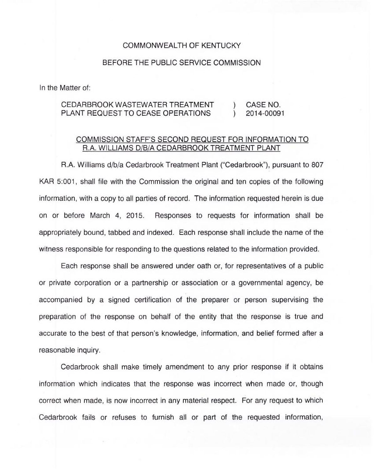## COMMONWEALTH OF KENTUCKY

## BEFORE THE PUBLIC SERVICE COMMISSION

In the Matter of:

## CEDARBROOK WASTEWATER TREATMENT (CASE NO.<br>PLANT REQUEST TO CEASE OPERATIONS (2014-00091) PLANT REQUEST TO CEASE OPERATIONS )

## COMMISSION STAFF'S SECOND REQUEST FOR INFORMATION TO R.A. WILLIAMS D/B/A CEDARBROOK TREATMENT PLANT

R.A. Williams d/b/a Cedarbrook Treatment Plant ("Cedarbrook"), pursuant to 807 KAR 5:001, shall file with the Commission the original and ten copies of the following information, with a copy to all parties of record. The information requested herein is due on or before March 4, 2015. Responses to requests for information shall be appropriately bound, tabbed and indexed. Each response shall include the name of the witness responsible for responding to the questions related to the information provided.

Each response shall be answered under oath or, for representatives of a public or private corporation or a partnership or association or a governmental agency, be accompanied by a signed certification of the preparer or person supervising the preparation of the response on behalf of the entity that the response is true and accurate to the best of that person's knowledge, information, and belief formed after a reasonable inquiry.

Cedarbrook shall make timely amendment to any prior response if it obtains information which indicates that the response was incorrect when made or, though correct when made, is now incorrect in any material respect. For any request to which Cedarbrook fails or refuses to furnish all or part of the requested information,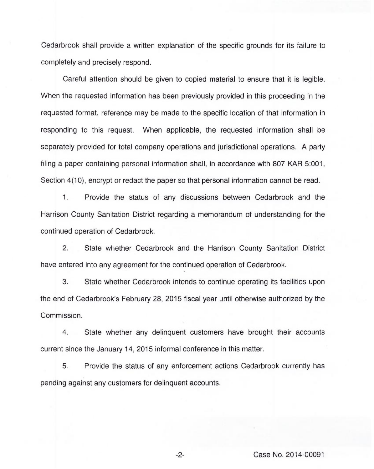Cedarbrook shall provide a written explanation of the specific grounds for its failure to completely and precisely respond.

Careful attention should be given to copied material to ensure that it is legible. When the requested information has been previously provided in this proceeding in the requested format, reference may be made to the specific location of that information in responding to this request. When applicable, the requested information shall be separately provided for total company operations and jurisdictional operations. A party filing a paper containing personal information shall, in accordance with 807 KAR 5:001, Section 4(10), encrypt or redact the paper so that personal information cannot be read.

 $1.$ Provide the status of any discussions between Cedarbrook and the Harrison County Sanitation District regarding a memorandum of understanding for the continued operation of Cedarbrook.

2. State whether Cedarbrook and the Harrison County Sanitation District have entered into any agreement for the continued operation of Cedarbrook.

3. State whether Cedarbrook intends to continue operating its facilities upon the end of Cedarbrook's February 28, 2015 fiscal year until otherwise authorized by the Commission.

4. State whether any delinquent customers have brought their accounts current since the January 14, 2015 informal conference in this matter.

5. Provide the status of any enforcement actions Cedarbrook currently has pending against any customers for delinquent accounts.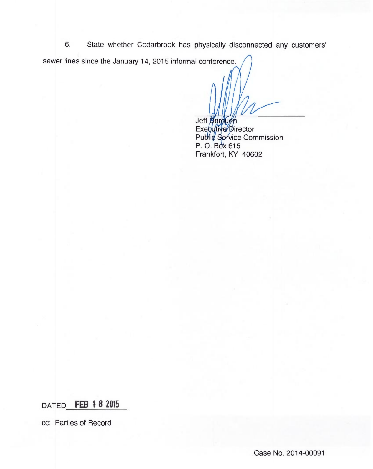6. State whether Cedarbrook has physically disconnected any customers sewer lines since the January 14, 2015 informal conference.

Jeff

Exe Pu irecto ice Commissic P. O. Box 615 Frankfort, KY 40602

DATED FEB 1 8 2015

cc: Parties of Record